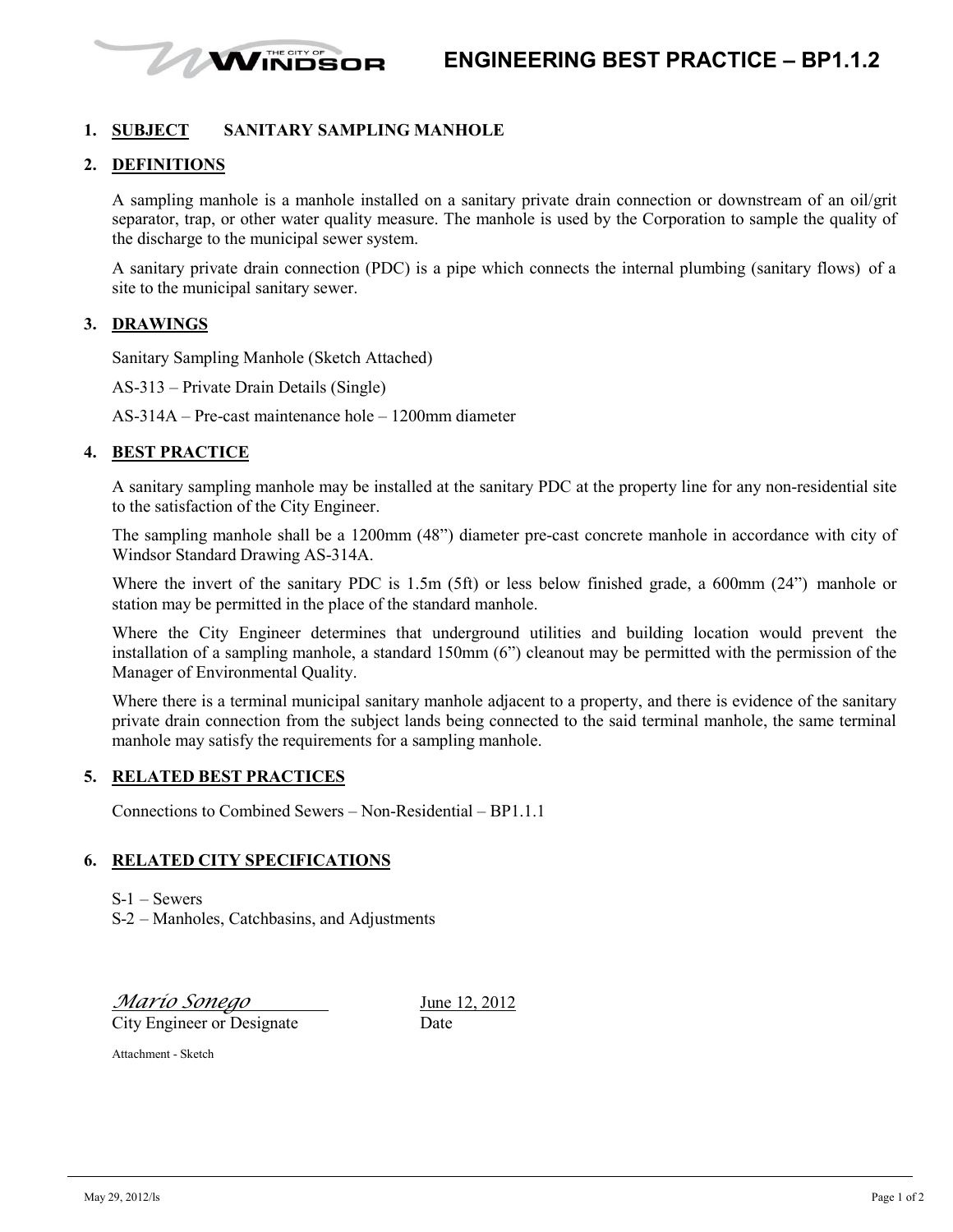

# **1. SUBJECT SANITARY SAMPLING MANHOLE**

# **2. DEFINITIONS**

A sampling manhole is a manhole installed on a sanitary private drain connection or downstream of an oil/grit separator, trap, or other water quality measure. The manhole is used by the Corporation to sample the quality of the discharge to the municipal sewer system.

A sanitary private drain connection (PDC) is a pipe which connects the internal plumbing (sanitary flows) of a site to the municipal sanitary sewer.

### **3. DRAWINGS**

Sanitary Sampling Manhole (Sketch Attached)

AS-313 – Private Drain Details (Single)

AS-314A – Pre-cast maintenance hole – 1200mm diameter

### **4. BEST PRACTICE**

A sanitary sampling manhole may be installed at the sanitary PDC at the property line for any non-residential site to the satisfaction of the City Engineer.

The sampling manhole shall be a 1200mm (48") diameter pre-cast concrete manhole in accordance with city of Windsor Standard Drawing AS-314A.

Where the invert of the sanitary PDC is 1.5m (5ft) or less below finished grade, a 600mm (24") manhole or station may be permitted in the place of the standard manhole.

Where the City Engineer determines that underground utilities and building location would prevent the installation of a sampling manhole, a standard 150mm (6") cleanout may be permitted with the permission of the Manager of Environmental Quality.

Where there is a terminal municipal sanitary manhole adjacent to a property, and there is evidence of the sanitary private drain connection from the subject lands being connected to the said terminal manhole, the same terminal manhole may satisfy the requirements for a sampling manhole.

# **5. RELATED BEST PRACTICES**

Connections to Combined Sewers – Non-Residential – BP1.1.1

### **6. RELATED CITY SPECIFICATIONS**

S-1 – Sewers

S-2 – Manholes, Catchbasins, and Adjustments

*Mario Sonego* June 12, 2012 City Engineer or Designate Date

Attachment - Sketch